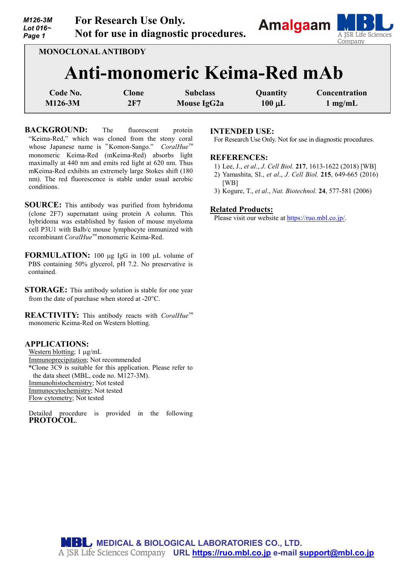*M126-3M Lot 016~ Page 1*  **For Research Use Only. Not for use in diagnostic procedures.**



**MONOCLONAL ANTIBODY**

# **Anti-monomeric Keima-Red mAb**

| C <b>ode No.</b> | Clone | <b>Subclass</b>    | <b>Quantity</b> | Concentration |
|------------------|-------|--------------------|-----------------|---------------|
| M126-3M          | 2F7   | <b>Mouse IgG2a</b> | $100 \mu L$     | $1$ mg/mL     |

**BACKGROUND:** The fluorescent protein "Keima-Red," which was cloned from the stony coral whose Japanese name is"Komon-Sango." *CoralHue™* monomeric Keima-Red (mKeima-Red) absorbs light maximally at 440 nm and emits red light at 620 nm. Thus mKeima-Red exhibits an extremely large Stokes shift (180 nm). The red fluorescence is stable under usual aerobic conditions.

**SOURCE:** This antibody was purified from hybridoma (clone 2F7) supernatant using protein A column. This hybridoma was established by fusion of mouse myeloma cell P3U1 with Balb/c mouse lymphocyte immunized with recombinant *CoralHue™* monomeric Keima-Red.

**FORMULATION:** 100 µg IgG in 100 µL volume of PBS containing 50% glycerol, pH 7.2. No preservative is contained.

**STORAGE:** This antibody solution is stable for one year from the date of purchase when stored at -20°C.

**REACTIVITY:** This antibody reacts with *CoralHue™* monomeric Keima-Red on Western blotting.

## **APPLICATIONS:**

Western blotting; 1  $\mu$ g/mL Immunoprecipitation; Not recommended \*Clone 3C9 is suitable for this application. Please refer to the data sheet (MBL, code no. M127-3M). Immunohistochemistry; Not tested Immunocytochemistry; Not tested Flow cytometry; Not tested

Detailed procedure is provided in the following **PROTOCOL**.

## **INTENDED USE:**

For Research Use Only. Not for use in diagnostic procedures.

#### **REFERENCES:**

- 1) Lee, J., *et al*., *J. Cell Biol.* **217**, 1613-1622 (2018) [WB]
- 2) Yamashita, SI., *et al*., *J. Cell Biol.* **215**, 649-665 (2016) [WB]
- 3) Kogure, T., *et al*., *Nat. Biotechnol.* **24**, 577-581 (2006)

### **Related Products:**

Please visit our website at [https://ruo.mbl.co.jp/.](https://ruo.mbl.co.jp/)